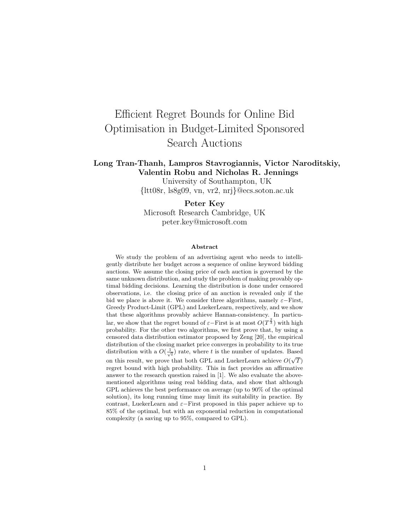# Efficient Regret Bounds for Online Bid Optimisation in Budget-Limited Sponsored Search Auctions

### Long Tran-Thanh, Lampros Stavrogiannis, Victor Naroditskiy, Valentin Robu and Nicholas R. Jennings

University of Southampton, UK {ltt08r, ls8g09, vn, vr2, nrj}@ecs.soton.ac.uk

### Peter Key

Microsoft Research Cambridge, UK peter.key@microsoft.com

#### Abstract

We study the problem of an advertising agent who needs to intelligently distribute her budget across a sequence of online keyword bidding auctions. We assume the closing price of each auction is governed by the same unknown distribution, and study the problem of making provably optimal bidding decisions. Learning the distribution is done under censored observations, i.e. the closing price of an auction is revealed only if the bid we place is above it. We consider three algorithms, namely  $\varepsilon-\text{First}$ , Greedy Product-Limit (GPL) and LuekerLearn, respectively, and we show that these algorithms provably achieve Hannan-consistency. In particular, we show that the regret bound of  $\varepsilon$ -First is at most  $O(T^{\frac{2}{3}})$  with high probability. For the other two algorithms, we first prove that, by using a censored data distribution estimator proposed by Zeng [20], the empirical distribution of the closing market price converges in probability to its true distribution with a  $O(\frac{1}{\sqrt{t}})$  rate, where t is the number of updates. Based on this result, we prove that both GPL and LuekerLearn achieve  $O(\sqrt{T})$ regret bound with high probability. This in fact provides an affirmative answer to the research question raised in [1]. We also evaluate the abovementioned algorithms using real bidding data, and show that although GPL achieves the best performance on average (up to 90% of the optimal solution), its long running time may limit its suitability in practice. By contrast, LuekerLearn and  $\varepsilon$ -First proposed in this paper achieve up to 85% of the optimal, but with an exponential reduction in computational complexity (a saving up to 95%, compared to GPL).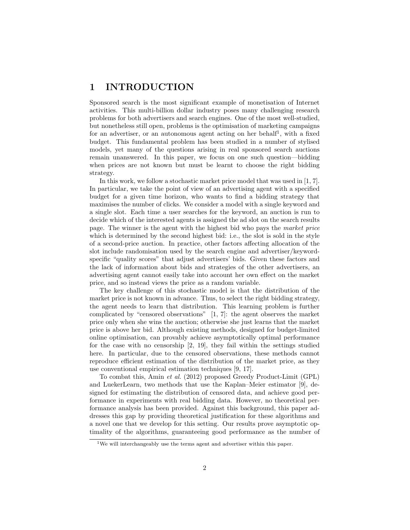## 1 INTRODUCTION

Sponsored search is the most significant example of monetisation of Internet activities. This multi-billion dollar industry poses many challenging research problems for both advertisers and search engines. One of the most well-studied, but nonetheless still open, problems is the optimisation of marketing campaigns for an advertiser, or an autonomous agent acting on her behalf<sup>1</sup>, with a fixed budget. This fundamental problem has been studied in a number of stylised models, yet many of the questions arising in real sponsored search auctions remain unanswered. In this paper, we focus on one such question—bidding when prices are not known but must be learnt to choose the right bidding strategy.

In this work, we follow a stochastic market price model that was used in [1, 7]. In particular, we take the point of view of an advertising agent with a specified budget for a given time horizon, who wants to find a bidding strategy that maximises the number of clicks. We consider a model with a single keyword and a single slot. Each time a user searches for the keyword, an auction is run to decide which of the interested agents is assigned the ad slot on the search results page. The winner is the agent with the highest bid who pays the market price which is determined by the second highest bid: i.e., the slot is sold in the style of a second-price auction. In practice, other factors affecting allocation of the slot include randomisation used by the search engine and advertiser/keywordspecific "quality scores" that adjust advertisers' bids. Given these factors and the lack of information about bids and strategies of the other advertisers, an advertising agent cannot easily take into account her own effect on the market price, and so instead views the price as a random variable.

The key challenge of this stochastic model is that the distribution of the market price is not known in advance. Thus, to select the right bidding strategy, the agent needs to learn that distribution. This learning problem is further complicated by "censored observations" [1, 7]: the agent observes the market price only when she wins the auction; otherwise she just learns that the market price is above her bid. Although existing methods, designed for budget-limited online optimisation, can provably achieve asymptotically optimal performance for the case with no censorship [2, 19], they fail within the settings studied here. In particular, due to the censored observations, these methods cannot reproduce efficient estimation of the distribution of the market price, as they use conventional empirical estimation techniques [9, 17].

To combat this, Amin et al. (2012) proposed Greedy Product-Limit (GPL) and LuekerLearn, two methods that use the Kaplan–Meier estimator [9], designed for estimating the distribution of censored data, and achieve good performance in experiments with real bidding data. However, no theoretical performance analysis has been provided. Against this background, this paper addresses this gap by providing theoretical justification for these algorithms and a novel one that we develop for this setting. Our results prove asymptotic optimality of the algorithms, guaranteeing good performance as the number of

<sup>&</sup>lt;sup>1</sup>We will interchangeably use the terms agent and advertiser within this paper.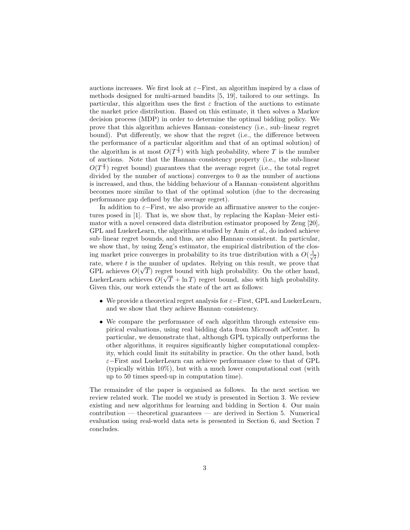auctions increases. We first look at  $\varepsilon$ –First, an algorithm inspired by a class of methods designed for multi-armed bandits [5, 19], tailored to our settings. In particular, this algorithm uses the first  $\varepsilon$  fraction of the auctions to estimate the market price distribution. Based on this estimate, it then solves a Markov decision process (MDP) in order to determine the optimal bidding policy. We prove that this algorithm achieves Hannan–consistency (i.e., sub–linear regret bound). Put differently, we show that the regret (i.e., the difference between the performance of a particular algorithm and that of an optimal solution) of the algorithm is at most  $O(T^{\frac{2}{3}})$  with high probability, where T is the number of auctions. Note that the Hannan–consistency property (i.e., the sub-linear  $O(T^{\frac{2}{3}})$  regret bound) guarantees that the average regret (i.e., the total regret divided by the number of auctions) converges to 0 as the number of auctions is increased, and thus, the bidding behaviour of a Hannan–consistent algorithm becomes more similar to that of the optimal solution (due to the decreasing performance gap defined by the average regret).

In addition to  $\varepsilon$ −First, we also provide an affirmative answer to the conjectures posed in [1]. That is, we show that, by replacing the Kaplan–Meier estimator with a novel censored data distribution estimator proposed by Zeng [20], GPL and LuekerLearn, the algorithms studied by Amin et al., do indeed achieve sub–linear regret bounds, and thus, are also Hannan–consistent. In particular, we show that, by using Zeng's estimator, the empirical distribution of the closing market price converges in probability to its true distribution with a  $O(\frac{1}{\sqrt{2}})$  $\frac{1}{t})$ rate, where t is the number of updates. Relying on this result, we prove that GPL achieves  $O(\sqrt{T})$  regret bound with high probability. On the other hand, LuekerLearn achieves  $O(\sqrt{T} + \ln T)$  regret bound, also with high probability. Given this, our work extends the state of the art as follows:

- We provide a theoretical regret analysis for  $\varepsilon-\text{First}$ , GPL and LuekerLearn, and we show that they achieve Hannan–consistency.
- We compare the performance of each algorithm through extensive empirical evaluations, using real bidding data from Microsoft adCenter. In particular, we demonstrate that, although GPL typically outperforms the other algorithms, it requires significantly higher computational complexity, which could limit its suitability in practice. On the other hand, both ε−First and LuekerLearn can achieve performance close to that of GPL (typically within  $10\%$ ), but with a much lower computational cost (with up to 50 times speed-up in computation time).

The remainder of the paper is organised as follows. In the next section we review related work. The model we study is presented in Section 3. We review existing and new algorithms for learning and bidding in Section 4. Our main contribution — theoretical guarantees — are derived in Section 5. Numerical evaluation using real-world data sets is presented in Section 6, and Section 7 concludes.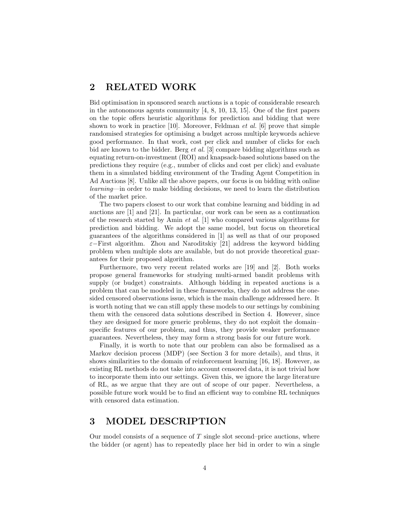### 2 RELATED WORK

Bid optimisation in sponsored search auctions is a topic of considerable research in the autonomous agents community [4, 8, 10, 13, 15]. One of the first papers on the topic offers heuristic algorithms for prediction and bidding that were shown to work in practice  $[10]$ . Moreover, Feldman *et al.*  $[6]$  prove that simple randomised strategies for optimising a budget across multiple keywords achieve good performance. In that work, cost per click and number of clicks for each bid are known to the bidder. Berg et al. [3] compare bidding algorithms such as equating return-on-investment (ROI) and knapsack-based solutions based on the predictions they require (e.g., number of clicks and cost per click) and evaluate them in a simulated bidding environment of the Trading Agent Competition in Ad Auctions [8]. Unlike all the above papers, our focus is on bidding with online learning—in order to make bidding decisions, we need to learn the distribution of the market price.

The two papers closest to our work that combine learning and bidding in ad auctions are [1] and [21]. In particular, our work can be seen as a continuation of the research started by Amin et al. [1] who compared various algorithms for prediction and bidding. We adopt the same model, but focus on theoretical guarantees of the algorithms considered in [1] as well as that of our proposed ε−First algorithm. Zhou and Naroditskiy [21] address the keyword bidding problem when multiple slots are available, but do not provide theoretical guarantees for their proposed algorithm.

Furthermore, two very recent related works are [19] and [2]. Both works propose general frameworks for studying multi-armed bandit problems with supply (or budget) constraints. Although bidding in repeated auctions is a problem that can be modeled in these frameworks, they do not address the onesided censored observations issue, which is the main challenge addressed here. It is worth noting that we can still apply these models to our settings by combining them with the censored data solutions described in Section 4. However, since they are designed for more generic problems, they do not exploit the domain– specific features of our problem, and thus, they provide weaker performance guarantees. Nevertheless, they may form a strong basis for our future work.

Finally, it is worth to note that our problem can also be formalised as a Markov decision process (MDP) (see Section 3 for more details), and thus, it shows similarities to the domain of reinforcement learning [16, 18]. However, as existing RL methods do not take into account censored data, it is not trivial how to incorporate them into our settings. Given this, we ignore the large literature of RL, as we argue that they are out of scope of our paper. Nevertheless, a possible future work would be to find an efficient way to combine RL techniques with censored data estimation.

### 3 MODEL DESCRIPTION

Our model consists of a sequence of  $T$  single slot second–price auctions, where the bidder (or agent) has to repeatedly place her bid in order to win a single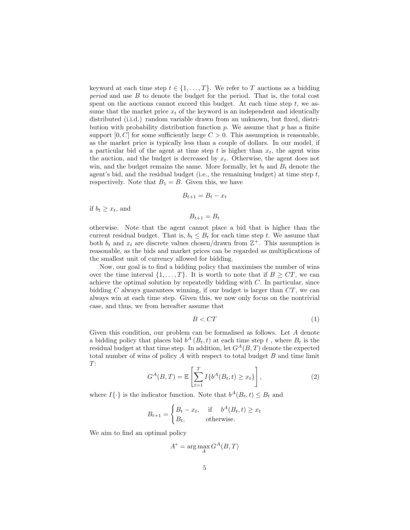keyword at each time step  $t \in \{1, ..., T\}$ . We refer to T auctions as a bidding period and use B to denote the budget for the period. That is, the total cost spent on the auctions cannot exceed this budget. At each time step  $t$ , we assume that the market price  $x_t$  of the keyword is an independent and identically distributed (i.i.d.) random variable drawn from an unknown, but fixed, distribution with probability distribution function  $p$ . We assume that  $p$  has a finite support  $[0, C]$  for some sufficiently large  $C > 0$ . This assumption is reasonable, as the market price is typically less than a couple of dollars. In our model, if a particular bid of the agent at time step  $t$  is higher than  $x_t$ , the agent wins the auction, and the budget is decreased by  $x_t$ . Otherwise, the agent does not win, and the budget remains the same. More formally, let  $b_t$  and  $B_t$  denote the agent's bid, and the residual budget (i.e., the remaining budget) at time step  $t$ , respectively. Note that  $B_1 = B$ . Given this, we have

$$
B_{t+1} = B_t - x_t
$$

if  $b_t \geq x_t$ , and

$$
B_{t+1} = B_t
$$

otherwise. Note that the agent cannot place a bid that is higher than the current residual budget. That is,  $b_t \leq B_t$  for each time step t. We assume that both  $b_t$  and  $x_t$  are discrete values chosen/drawn from  $\mathbb{Z}^+$ . This assumption is reasonable, as the bids and market prices can be regarded as multiplications of the smallest unit of currency allowed for bidding.

Now, our goal is to find a bidding policy that maximises the number of wins over the time interval  $\{1, \ldots, T\}$ . It is worth to note that if  $B \geq CT$ , we can achieve the optimal solution by repeatedly bidding with  $C$ . In particular, since bidding  $C$  always guarantees winning, if our budget is larger than  $CT$ , we can always win at each time step. Given this, we now only focus on the nontrivial case, and thus, we from hereafter assume that

$$
B < CT \tag{1}
$$

Given this condition, our problem can be formalised as follows. Let A denote a bidding policy that places bid  $b^A(B_t, t)$  at each time step t, where  $B_t$  is the residual budget at that time step. In addition, let  $G^{A}(B, T)$  denote the expected total number of wins of policy  $A$  with respect to total budget  $B$  and time limit T:

$$
G^{A}(B,T) = \mathbb{E}\left[\sum_{t=1}^{T} I\{b^{A}(B_t, t) \ge x_t\}\right],
$$
\n(2)

where  $I\{\cdot\}$  is the indicator function. Note that  $b^A(B_t, t) \leq B_t$  and

$$
B_{t+1} = \begin{cases} B_t - x_t, & \text{if } b^A(B_t, t) \ge x_t \\ B_t, & \text{otherwise.} \end{cases}
$$

We aim to find an optimal policy

$$
A^* = \arg\max_{A} G^A(B, T)
$$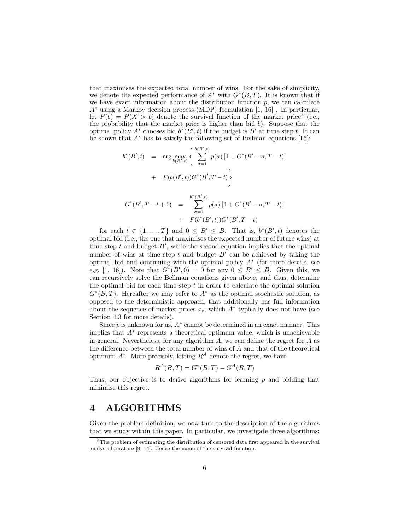that maximises the expected total number of wins. For the sake of simplicity, we denote the expected performance of  $A^*$  with  $G^*(B,T)$ . It is known that if we have exact information about the distribution function  $p$ , we can calculate A<sup>∗</sup> using a Markov decision process (MDP) formulation [1, 16] . In particular, let  $F(b) = P(X > b)$  denote the survival function of the market price<sup>2</sup> (i.e., the probability that the market price is higher than bid  $b$ ). Suppose that the optimal policy  $A^*$  chooses bid  $b^*(B', t)$  if the budget is  $B'$  at time step t. It can be shown that  $A^*$  has to satisfy the following set of Bellman equations [16]:

$$
b^*(B',t) = \arg \max_{b(B',t)} \left\{ \sum_{\sigma=1}^{b(B',t)} p(\sigma) \left[ 1 + G^*(B' - \sigma, T - t) \right] + F(b(B',t))G^*(B', T - t) \right\}
$$
  

$$
+ F(b(B',t))G^*(B', T - t) \right\}
$$
  

$$
G^*(B', T - t + 1) = \sum_{\sigma=1}^{b^*(B',t)} p(\sigma) \left[ 1 + G^*(B' - \sigma, T - t) \right]
$$

+  $F(b^*(B', t))G^*(B', T - t)$ 

for each  $t \in \{1, ..., T\}$  and  $0 \leq B' \leq B$ . That is,  $b^*(B', t)$  denotes the optimal bid (i.e., the one that maximises the expected number of future wins) at time step  $t$  and budget  $B'$ , while the second equation implies that the optimal number of wins at time step  $t$  and budget  $B'$  can be achieved by taking the optimal bid and continuing with the optimal policy  $A^*$  (for more details, see e.g. [1, 16]). Note that  $G^*(B',0) = 0$  for any  $0 \leq B' \leq B$ . Given this, we can recursively solve the Bellman equations given above, and thus, determine the optimal bid for each time step  $t$  in order to calculate the optimal solution  $G<sup>*</sup>(B,T)$ . Hereafter we may refer to  $A<sup>*</sup>$  as the optimal stochastic solution, as opposed to the deterministic approach, that additionally has full information about the sequence of market prices  $x_t$ , which  $A^*$  typically does not have (see Section 4.3 for more details).

Since  $p$  is unknown for us,  $A^*$  cannot be determined in an exact manner. This implies that A<sup>∗</sup> represents a theoretical optimum value, which is unachievable in general. Nevertheless, for any algorithm  $A$ , we can define the regret for  $A$  as the difference between the total number of wins of A and that of the theoretical optimum  $A^*$ . More precisely, letting  $R^A$  denote the regret, we have

$$
R^{A}(B, T) = G^{*}(B, T) - G^{A}(B, T)
$$

Thus, our objective is to derive algorithms for learning  $p$  and bidding that minimise this regret.

### 4 ALGORITHMS

Given the problem definition, we now turn to the description of the algorithms that we study within this paper. In particular, we investigate three algorithms:

<sup>&</sup>lt;sup>2</sup>The problem of estimating the distribution of censored data first appeared in the survival analysis literature [9, 14]. Hence the name of the survival function.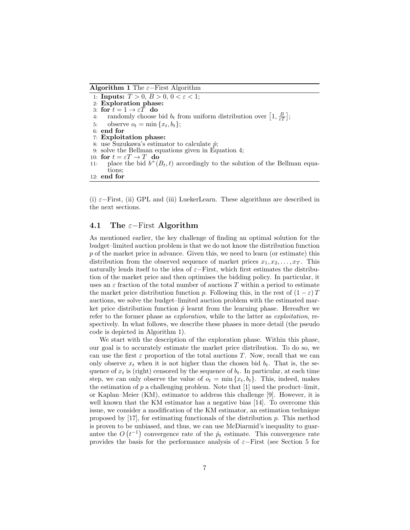Algorithm 1 The  $\varepsilon$ −First Algorithm

1: **Inputs:**  $T > 0$ ,  $B > 0$ ,  $0 < \varepsilon < 1$ ; 2: Exploration phase: 3: for  $t = 1 \rightarrow \varepsilon T$  do 4: randomly choose bid  $b_t$  from uniform distribution over  $\left[1, \frac{B}{\varepsilon T}\right]$ ; 5: observe  $o_t = \min\{x_t, b_t\};$ 6: end for 7: Exploitation phase: 8: use Suzukawa's estimator to calculate  $\hat{p}$ ; 9: solve the Bellman equations given in Equation 4; 10: for  $t = \varepsilon T \rightarrow T$  do 11: place the bid  $b^+(B_t, t)$  accordingly to the solution of the Bellman equations; 12: end for

(i)  $\varepsilon$ –First, (ii) GPL and (iii) LuekerLearn. These algorithms are described in the next sections.

#### 4.1 The  $\varepsilon$ −First Algorithm

As mentioned earlier, the key challenge of finding an optimal solution for the budget–limited auction problem is that we do not know the distribution function p of the market price in advance. Given this, we need to learn (or estimate) this distribution from the observed sequence of market prices  $x_1, x_2, \ldots, x_T$ . This naturally lends itself to the idea of  $\varepsilon$ –First, which first estimates the distribution of the market price and then optimises the bidding policy. In particular, it uses an  $\varepsilon$  fraction of the total number of auctions T within a period to estimate the market price distribution function p. Following this, in the rest of  $(1 - \varepsilon)T$ auctions, we solve the budget–limited auction problem with the estimated market price distribution function  $\hat{p}$  learnt from the learning phase. Hereafter we refer to the former phase as *exploration*, while to the latter as *exploitation*, respectively. In what follows, we describe these phases in more detail (the pseudo code is depicted in Algorithm 1).

We start with the description of the exploration phase. Within this phase, our goal is to accurately estimate the market price distribution. To do so, we can use the first  $\varepsilon$  proportion of the total auctions T. Now, recall that we can only observe  $x_t$  when it is not higher than the chosen bid  $b_t$ . That is, the sequence of  $x_t$  is (right) censored by the sequence of  $b_t$ . In particular, at each time step, we can only observe the value of  $o_t = \min\{x_t, b_t\}$ . This, indeed, makes the estimation of  $p$  a challenging problem. Note that [1] used the product–limit, or Kaplan–Meier (KM), estimator to address this challenge [9]. However, it is well known that the KM estimator has a negative bias [14]. To overcome this issue, we consider a modification of the KM estimator, an estimation technique proposed by  $[17]$ , for estimating functionals of the distribution p. This method is proven to be unbiased, and thus, we can use McDiarmid's inequality to guarantee the  $O(t^{-1})$  convergence rate of the  $\hat{p}_t$  estimate. This convergence rate provides the basis for the performance analysis of  $\varepsilon$ −First (see Section 5 for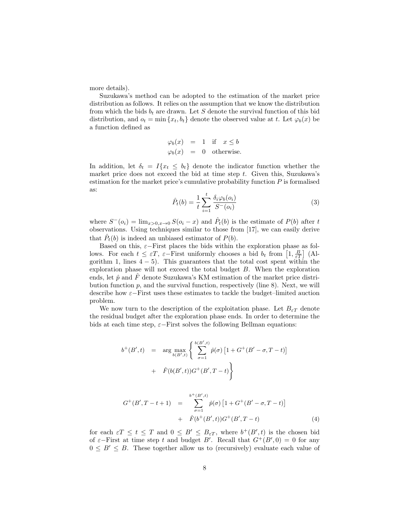more details).

Suzukawa's method can be adopted to the estimation of the market price distribution as follows. It relies on the assumption that we know the distribution from which the bids  $b_t$  are drawn. Let S denote the survival function of this bid distribution, and  $o_t = \min\{x_t, b_t\}$  denote the observed value at t. Let  $\varphi_b(x)$  be a function defined as

$$
\varphi_b(x) = 1 \text{ if } x \le b
$$
  

$$
\varphi_b(x) = 0 \text{ otherwise.}
$$

In addition, let  $\delta_t = I\{x_t \leq b_t\}$  denote the indicator function whether the market price does not exceed the bid at time step  $t$ . Given this, Suzukawa's estimation for the market price's cumulative probability function  $P$  is formalised as:

$$
\hat{P}_t(b) = \frac{1}{t} \sum_{i=1}^t \frac{\delta_i \varphi_b(o_i)}{S^-(o_i)}
$$
\n(3)

where  $S^{-}(o_i) = \lim_{x>0, x\to 0} S(o_i - x)$  and  $\hat{P}_t(b)$  is the estimate of  $P(b)$  after t observations. Using techniques similar to those from [17], we can easily derive that  $\hat{P}_t(b)$  is indeed an unbiased estimator of  $P(b)$ .

Based on this,  $\varepsilon$ -First places the bids within the exploration phase as follows. For each  $t \leq \varepsilon T$ ,  $\varepsilon$ -First uniformly chooses a bid  $b_t$  from  $\left[1, \frac{B}{\varepsilon T}\right]$  (Algorithm 1, lines  $4 - 5$ ). This guarantees that the total cost spent within the exploration phase will not exceed the total budget B. When the exploration ends, let  $\hat{p}$  and  $\hat{F}$  denote Suzukawa's KM estimation of the market price distribution function  $p$ , and the survival function, respectively (line 8). Next, we will describe how ε−First uses these estimates to tackle the budget–limited auction problem.

We now turn to the description of the exploitation phase. Let  $B_{\varepsilon T}$  denote the residual budget after the exploration phase ends. In order to determine the bids at each time step,  $\varepsilon$ –First solves the following Bellman equations:

$$
b^+(B',t) = \arg \max_{b(B',t)} \left\{ \sum_{\sigma=1}^{b(B',t)} \hat{p}(\sigma) \left[ 1 + G^+(B' - \sigma, T - t) \right] + \hat{F}(b(B',t))G^+(B', T - t) \right\}
$$

$$
G^{+}(B', T - t + 1) = \sum_{\sigma=1}^{b^{+}(B', t)} \hat{p}(\sigma) \left[ 1 + G^{+}(B' - \sigma, T - t) \right] + \hat{F}(b^{+}(B', t))G^{+}(B', T - t)
$$
\n(4)

for each  $\varepsilon T \leq t \leq T$  and  $0 \leq B' \leq B_{\varepsilon T}$ , where  $b^{+}(B', t)$  is the chosen bid of  $\varepsilon$ -First at time step t and budget B'. Recall that  $G^+(B',0) = 0$  for any  $0 \leq B' \leq B$ . These together allow us to (recursively) evaluate each value of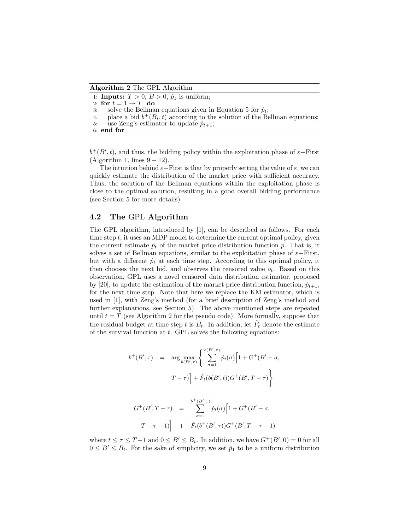Algorithm 2 The GPL Algorithm

- 1: **Inputs:**  $T > 0$ ,  $B > 0$ ,  $\hat{p}_1$  is uniform;
- 2: for  $t = 1 \rightarrow T$  do
- 3: solve the Bellman equations given in Equation 5 for  $\hat{p}_t$ ;
- 4: place a bid  $b^+(B_t,t)$  according to the solution of the Bellman equations;

```
5: use Zeng's estimator to update \hat{p}_{t+1};
```
6: end for

 $b^{+}(B', t)$ , and thus, the bidding policy within the exploitation phase of  $\varepsilon$ -First  $(Aqorithm 1, lines 9-12).$ 

The intuition behind  $\varepsilon$ −First is that by properly setting the value of  $\varepsilon$ , we can quickly estimate the distribution of the market price with sufficient accuracy. Thus, the solution of the Bellman equations within the exploitation phase is close to the optimal solution, resulting in a good overall bidding performance (see Section 5 for more details).

#### 4.2 The GPL Algorithm

The GPL algorithm, introduced by [1], can be described as follows. For each time step t, it uses an MDP model to determine the current optimal policy, given the current estimate  $\hat{p}_t$  of the market price distribution function p. That is, it solves a set of Bellman equations, similar to the exploitation phase of  $\varepsilon$ −First, but with a different  $\hat{p}_t$  at each time step. According to this optimal policy, it then chooses the next bid, and observes the censored value  $o_t$ . Based on this observation, GPL uses a novel censored data distribution estimator, proposed by [20], to update the estimation of the market price distribution function,  $\hat{p}_{t+1}$ , for the next time step. Note that here we replace the KM estimator, which is used in [1], with Zeng's method (for a brief description of Zeng's method and further explanations, see Section 5). The above mentioned steps are repeated until  $t = T$  (see Algorithm 2 for the pseudo code). More formally, suppose that the residual budget at time step t is  $B_t$ . In addition, let  $\hat{F}_t$  denote the estimate of the survival function at  $t$ . GPL solves the following equations:

$$
b^+(B', \tau) = \arg \max_{b(B', \tau)} \left\{ \sum_{\sigma=1}^{b(B', \tau)} \hat{p}_t(\sigma) \left[ 1 + G^+(B' - \sigma, \tau) \right] + \hat{F}_t(b(B', t)) G^+(B', T - \tau) \right\}
$$

$$
G^+(B',T-\tau) = \sum_{\sigma=1}^{b^+(B',\tau)} \hat{p}_t(\sigma) \left[1 + G^+(B' - \sigma, T-\tau-1)\right] + \hat{F}_t(b^+(B',\tau)) G^+(B',T-\tau-1)
$$

where  $t \leq \tau \leq T-1$  and  $0 \leq B' \leq B_t$ . In addition, we have  $G^+(B', 0) = 0$  for all  $0 \leq B' \leq B_t$ . For the sake of simplicity, we set  $\hat{p}_1$  to be a uniform distribution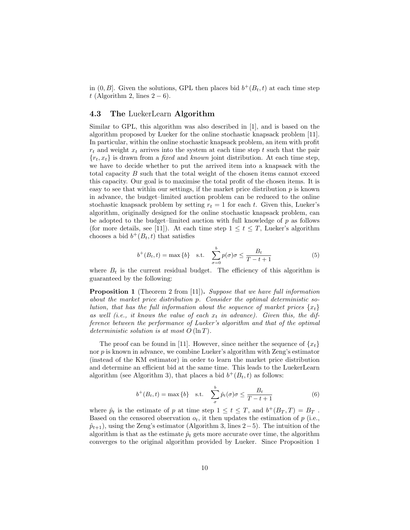in  $(0, B]$ . Given the solutions, GPL then places bid  $b^+(B_t, t)$  at each time step t (Algorithm 2, lines  $2-6$ ).

### 4.3 The LuekerLearn Algorithm

Similar to GPL, this algorithm was also described in [1], and is based on the algorithm proposed by Lueker for the online stochastic knapsack problem [11]. In particular, within the online stochastic knapsack problem, an item with profit  $r_t$  and weight  $x_t$  arrives into the system at each time step t such that the pair  ${r_t, x_t}$  is drawn from a *fixed* and *known* joint distribution. At each time step, we have to decide whether to put the arrived item into a knapsack with the total capacity  $B$  such that the total weight of the chosen items cannot exceed this capacity. Our goal is to maximise the total profit of the chosen items. It is easy to see that within our settings, if the market price distribution  $p$  is known in advance, the budget–limited auction problem can be reduced to the online stochastic knapsack problem by setting  $r_t = 1$  for each t. Given this, Lueker's algorithm, originally designed for the online stochastic knapsack problem, can be adopted to the budget–limited auction with full knowledge of  $p$  as follows (for more details, see [11]). At each time step  $1 \le t \le T$ , Lueker's algorithm chooses a bid  $b^+(B_t,t)$  that satisfies

$$
b^{+}(B_t, t) = \max\{b\} \quad \text{s.t.} \quad \sum_{\sigma=0}^{b} p(\sigma)\sigma \le \frac{B_t}{T - t + 1} \tag{5}
$$

where  $B_t$  is the current residual budget. The efficiency of this algorithm is guaranteed by the following:

Proposition 1 (Theorem 2 from [11]). Suppose that we have full information about the market price distribution p. Consider the optimal deterministic solution, that has the full information about the sequence of market prices  ${x_t}$ as well (i.e., it knows the value of each  $x_t$  in advance). Given this, the difference between the performance of Lueker's algorithm and that of the optimal deterministic solution is at most  $O(\ln T)$ .

The proof can be found in [11]. However, since neither the sequence of  $\{x_t\}$ nor  $p$  is known in advance, we combine Lueker's algorithm with Zeng's estimator (instead of the KM estimator) in order to learn the market price distribution and determine an efficient bid at the same time. This leads to the LuekerLearn algorithm (see Algorithm 3), that places a bid  $b^+(B_t,t)$  as follows:

$$
b^{+}(B_{t}, t) = \max\{b\} \quad \text{s.t.} \quad \sum_{\sigma}^{b} \hat{p}_{t}(\sigma)\sigma \le \frac{B_{t}}{T - t + 1} \tag{6}
$$

where  $\hat{p}_t$  is the estimate of p at time step  $1 \leq t \leq T$ , and  $b^+(B_T, T) = B_T$ . Based on the censored observation  $o_t$ , it then updates the estimation of  $p$  (i.e.,  $\hat{p}_{t+1}$ ), using the Zeng's estimator (Algorithm 3, lines 2–5). The intuition of the algorithm is that as the estimate  $\hat{p}_t$  gets more accurate over time, the algorithm converges to the original algorithm provided by Lueker. Since Proposition 1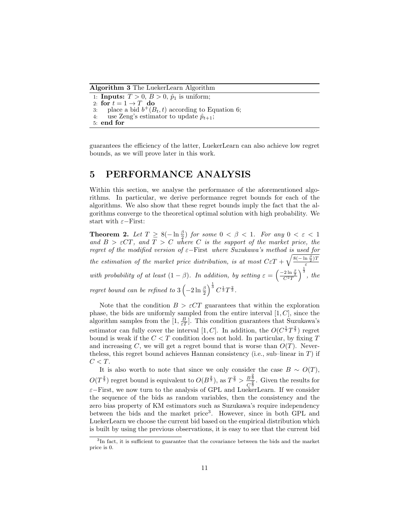Algorithm 3 The LuekerLearn Algorithm

1: **Inputs:**  $T > 0$ ,  $B > 0$ ,  $\hat{p}_1$  is uniform; 2: for  $t = 1 \rightarrow T$  do 3: place a bid  $b^+(B_t, t)$  according to Equation 6; 4: use Zeng's estimator to update  $\hat{p}_{t+1}$ ; 5: end for

guarantees the efficiency of the latter, LuekerLearn can also achieve low regret bounds, as we will prove later in this work.

### 5 PERFORMANCE ANALYSIS

Within this section, we analyse the performance of the aforementioned algorithms. In particular, we derive performance regret bounds for each of the algorithms. We also show that these regret bounds imply the fact that the algorithms converge to the theoretical optimal solution with high probability. We start with  $\varepsilon$ -First:

**Theorem 2.** Let  $T \geq 8(-\ln \frac{\beta}{2})$  for some  $0 < \beta < 1$ . For any  $0 < \varepsilon < 1$ and  $B > \varepsilon C T$ , and  $T > C$  where C is the support of the market price, the regret of the modified version of ε−First where Suzukawa's method is used for the estimation of the market price distribution, is at most  $C \epsilon T + \sqrt{\frac{8(-\ln \frac{\beta}{2})T}{\epsilon}}$ ε with probability of at least  $(1 - \beta)$ . In addition, by setting  $\varepsilon = \left(\frac{-2 \ln \frac{\beta}{2}}{C^2 T}\right)^{\frac{1}{3}}$ , the regret bound can be refined to  $3\left(-2\ln\frac{\beta}{2}\right)^{\frac{1}{3}}C^{\frac{1}{3}}T^{\frac{2}{3}}$ .

Note that the condition  $B > \varepsilon C T$  guarantees that within the exploration phase, the bids are uniformly sampled from the entire interval  $[1, C]$ , since the algorithm samples from the  $[1, \frac{B}{\varepsilon T}]$ . This condition guarantees that Suzukawa's estimator can fully cover the interval [1, C]. In addition, the  $O(C^{\frac{1}{3}}T^{\frac{2}{3}})$  regret bound is weak if the  $C < T$  condition does not hold. In particular, by fixing  $T$ and increasing C, we will get a regret bound that is worse than  $O(T)$ . Nevertheless, this regret bound achieves Hannan consistency (i.e., sub–linear in  $T$ ) if  $C < T$ .

It is also worth to note that since we only consider the case  $B \sim O(T)$ ,  $O(T^{\frac{2}{3}})$  regret bound is equivalent to  $O(B^{\frac{2}{3}})$ , as  $T^{\frac{2}{3}} > \frac{B^{\frac{2}{3}}}{2}$  $rac{B^3}{C^3}$ . Given the results for ε−First, we now turn to the analysis of GPL and LuekerLearn. If we consider the sequence of the bids as random variables, then the consistency and the zero bias property of KM estimators such as Suzukawa's require independency between the bids and the market price<sup>3</sup>. However, since in both GPL and LuekerLearn we choose the current bid based on the empirical distribution which is built by using the previous observations, it is easy to see that the current bid

<sup>&</sup>lt;sup>3</sup>In fact, it is sufficient to guarantee that the covariance between the bids and the market price is 0.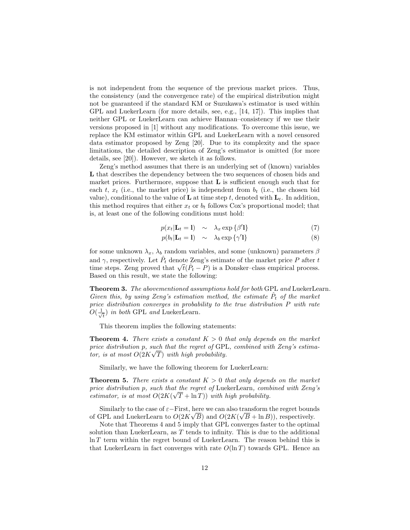is not independent from the sequence of the previous market prices. Thus, the consistency (and the convergence rate) of the empirical distribution might not be guaranteed if the standard KM or Suzukawa's estimator is used within GPL and LuekerLearn (for more details, see, e.g., [14, 17]). This implies that neither GPL or LuekerLearn can achieve Hannan–consistency if we use their versions proposed in [1] without any modifications. To overcome this issue, we replace the KM estimator within GPL and LuekerLearn with a novel censored data estimator proposed by Zeng [20]. Due to its complexity and the space limitations, the detailed description of Zeng's estimator is omitted (for more details, see [20]). However, we sketch it as follows.

Zeng's method assumes that there is an underlying set of (known) variables L that describes the dependency between the two sequences of chosen bids and market prices. Furthermore, suppose that  $L$  is sufficient enough such that for each t,  $x_t$  (i.e., the market price) is independent from  $b_t$  (i.e., the chosen bid value), conditional to the value of **L** at time step t, denoted with  $L_t$ . In addition, this method requires that either  $x_t$  or  $b_t$  follows Cox's proportional model; that is, at least one of the following conditions must hold:

$$
p(x_t | \mathbf{L}_t = 1) \sim \lambda_x \exp\{\beta' 1\} \tag{7}
$$

$$
p(b_t | \mathbf{L}_t = \mathbf{l}) \sim \lambda_b \exp\{\gamma' \mathbf{l}\} \tag{8}
$$

for some unknown  $\lambda_x$ ,  $\lambda_b$  random variables, and some (unknown) parameters  $\beta$ and  $\gamma$ , respectively. Let  $\hat{P}_t$  denote Zeng's estimate of the market price P after t and  $\gamma$ , respectively. Let  $P_t$  denote Zeng's estimate of the market price  $P$  after t<br>time steps. Zeng proved that  $\sqrt{t}(\hat{P}_t - P)$  is a Donsker–class empirical process. Based on this result, we state the following:

Theorem 3. The abovementioned assumptions hold for both GPL and LuekerLearn. Given this, by using Zeng's estimation method, the estimate  $\hat{P}_t$  of the market price distribution converges in probability to the true distribution P with rate  $O(\frac{1}{\sqrt{2}})$  $\frac{1}{t}$  in both GPL and LuekerLearn.

This theorem implies the following statements:

**Theorem 4.** There exists a constant  $K > 0$  that only depends on the market price distribution p, such that the regret of GPL, combined with Zeng's estimator, is at most  $O(2K\sqrt{T})$  with high probability.

Similarly, we have the following theorem for LuekerLearn:

**Theorem 5.** There exists a constant  $K > 0$  that only depends on the market price distribution p, such that the regret of LuekerLearn, combined with Zeng's estimator, is at most  $O(2K(\sqrt{T} + \ln T))$  with high probability.

Similarly to the case of  $\varepsilon$ -First, here we can also transform the regret bounds of GPL and LuekerLearn to  $O(2K\sqrt{B})$  and  $O(2K(\sqrt{B} + \ln B))$ , respectively.

Note that Theorems 4 and 5 imply that GPL converges faster to the optimal solution than LuekerLearn, as T tends to infinity. This is due to the additional  $\ln T$  term within the regret bound of LuekerLearn. The reason behind this is that LuekerLearn in fact converges with rate  $O(\ln T)$  towards GPL. Hence an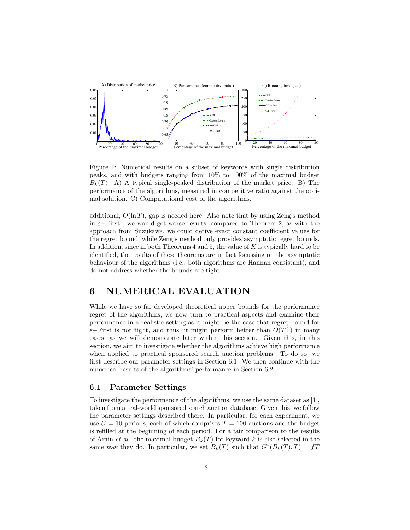

Figure 1: Numerical results on a subset of keywords with single distribution peaks, and with budgets ranging from 10% to 100% of the maximal budget  $B_k(T)$ : A) A typical single-peaked distribution of the market price. B) The performance of the algorithms, measured in competitive ratio against the optimal solution. C) Computational cost of the algorithms.

additional,  $O(\ln T)$ , gap is needed here. Also note that by using Zeng's method in  $\varepsilon$ −First, we would get worse results, compared to Theorem 2, as with the approach from Suzukawa, we could derive exact constant coefficient values for the regret bound, while Zeng's method only provides asymptotic regret bounds. In addition, since in both Theorems 4 and 5, the value of K is typically hard to be identified, the results of these theorems are in fact focussing on the asymptotic behaviour of the algorithms (i.e., both algorithms are Hannan consistant), and do not address whether the bounds are tight.

## 6 NUMERICAL EVALUATION

While we have so far developed theoretical upper bounds for the performance regret of the algorithms, we now turn to practical aspects and examine their performance in a realistic setting,as it might be the case that regret bound for  $\varepsilon$ –First is not tight, and thus, it might perform better than  $O(T^{\frac{2}{3}})$  in many cases, as we will demonstrate later within this section. Given this, in this section, we aim to investigate whether the algorithms achieve high performance when applied to practical sponsored search auction problems. To do so, we first describe our parameter settings in Section 6.1. We then continue with the numerical results of the algorithms' performance in Section 6.2.

#### 6.1 Parameter Settings

To investigate the performance of the algorithms, we use the same dataset as [1], taken from a real-world sponsored search auction database. Given this, we follow the parameter settings described there. In particular, for each experiment, we use  $U = 10$  periods, each of which comprises  $T = 100$  auctions and the budget is refilled at the beginning of each period. For a fair comparison to the results of Amin et al., the maximal budget  $B_k(T)$  for keyword k is also selected in the same way they do. In particular, we set  $B_k(T)$  such that  $G^*(B_k(T), T) = fT$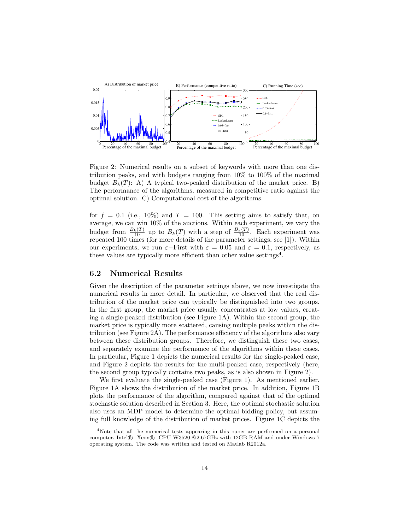

Figure 2: Numerical results on a subset of keywords with more than one distribution peaks, and with budgets ranging from 10% to 100% of the maximal budget  $B_k(T)$ : A) A typical two-peaked distribution of the market price. B) The performance of the algorithms, measured in competitive ratio against the optimal solution. C) Computational cost of the algorithms.

for  $f = 0.1$  (i.e., 10%) and  $T = 100$ . This setting aims to satisfy that, on average, we can win 10% of the auctions. Within each experiment, we vary the budget from  $\frac{B_k(T)}{10}$  up to  $B_k(T)$  with a step of  $\frac{B_k(T)}{10}$ . Each experiment was repeated 100 times (for more details of the parameter settings, see [1]). Within our experiments, we run  $\varepsilon$ -First with  $\varepsilon = 0.05$  and  $\varepsilon = 0.1$ , respectively, as these values are typically more efficient than other value settings<sup>4</sup>.

#### 6.2 Numerical Results

Given the description of the parameter settings above, we now investigate the numerical results in more detail. In particular, we observed that the real distribution of the market price can typically be distinguished into two groups. In the first group, the market price usually concentrates at low values, creating a single-peaked distribution (see Figure 1A). Within the second group, the market price is typically more scattered, causing multiple peaks within the distribution (see Figure 2A). The performance efficiency of the algorithms also vary between these distribution groups. Therefore, we distinguish these two cases, and separately examine the performance of the algorithms within these cases. In particular, Figure 1 depicts the numerical results for the single-peaked case, and Figure 2 depicts the results for the multi-peaked case, respectively (here, the second group typically contains two peaks, as is also shown in Figure 2).

We first evaluate the single-peaked case (Figure 1). As mentioned earlier, Figure 1A shows the distribution of the market price. In addition, Figure 1B plots the performance of the algorithm, compared against that of the optimal stochastic solution described in Section 3. Here, the optimal stochastic solution also uses an MDP model to determine the optimal bidding policy, but assuming full knowledge of the distribution of market prices. Figure 1C depicts the

<sup>4</sup>Note that all the numerical tests appearing in this paper are performed on a personal computer, Intel® Xeon® CPU W3520 @2.67GHz with 12GB RAM and under Windows 7 operating system. The code was written and tested on Matlab R2012a.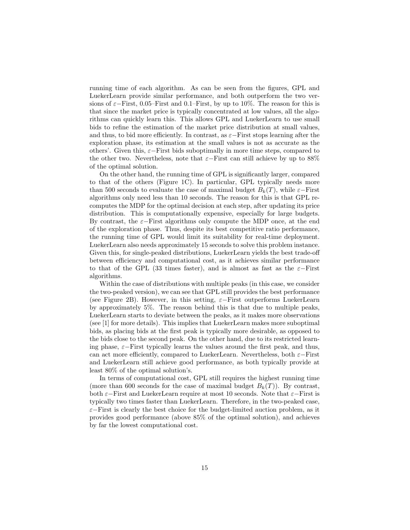running time of each algorithm. As can be seen from the figures, GPL and LuekerLearn provide similar performance, and both outperform the two versions of  $\varepsilon$ –First, 0.05–First and 0.1–First, by up to 10%. The reason for this is that since the market price is typically concentrated at low values, all the algorithms can quickly learn this. This allows GPL and LuekerLearn to use small bids to refine the estimation of the market price distribution at small values, and thus, to bid more efficiently. In contrast, as  $\varepsilon$ −First stops learning after the exploration phase, its estimation at the small values is not as accurate as the others'. Given this,  $\varepsilon$ -First bids suboptimally in more time steps, compared to the other two. Nevertheless, note that  $\varepsilon$ −First can still achieve by up to 88% of the optimal solution.

On the other hand, the running time of GPL is significantly larger, compared to that of the others (Figure 1C). In particular, GPL typically needs more than 500 seconds to evaluate the case of maximal budget  $B_k(T)$ , while  $\varepsilon$ –First algorithms only need less than 10 seconds. The reason for this is that GPL recomputes the MDP for the optimal decision at each step, after updating its price distribution. This is computationally expensive, especially for large budgets. By contrast, the  $\varepsilon$ -First algorithms only compute the MDP once, at the end of the exploration phase. Thus, despite its best competitive ratio performance, the running time of GPL would limit its suitability for real-time deployment. LuekerLearn also needs approximately 15 seconds to solve this problem instance. Given this, for single-peaked distributions, LuekerLearn yields the best trade-off between efficiency and computational cost, as it achieves similar performance to that of the GPL (33 times faster), and is almost as fast as the  $\varepsilon$ -First algorithms.

Within the case of distributions with multiple peaks (in this case, we consider the two-peaked version), we can see that GPL still provides the best performance (see Figure 2B). However, in this setting,  $\varepsilon$ -First outperforms LuekerLearn by approximately 5%. The reason behind this is that due to multiple peaks, LuekerLearn starts to deviate between the peaks, as it makes more observations (see [1] for more details). This implies that LuekerLearn makes more suboptimal bids, as placing bids at the first peak is typically more desirable, as opposed to the bids close to the second peak. On the other hand, due to its restricted learning phase,  $\varepsilon$ -First typically learns the values around the first peak, and thus, can act more efficiently, compared to LuekerLearn. Nevertheless, both  $\varepsilon$ –First and LuekerLearn still achieve good performance, as both typically provide at least 80% of the optimal solution's.

In terms of computational cost, GPL still requires the highest running time (more than 600 seconds for the case of maximal budget  $B_k(T)$ ). By contrast, both  $\varepsilon$ −First and LuekerLearn require at most 10 seconds. Note that  $\varepsilon$ −First is typically two times faster than LuekerLearn. Therefore, in the two-peaked case, ε−First is clearly the best choice for the budget-limited auction problem, as it provides good performance (above 85% of the optimal solution), and achieves by far the lowest computational cost.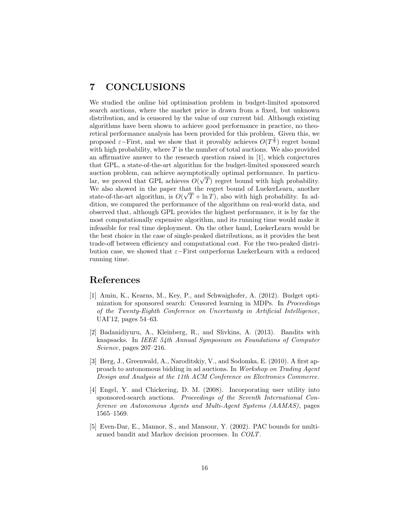### 7 CONCLUSIONS

We studied the online bid optimisation problem in budget-limited sponsored search auctions, where the market price is drawn from a fixed, but unknown distribution, and is censored by the value of our current bid. Although existing algorithms have been shown to achieve good performance in practice, no theoretical performance analysis has been provided for this problem. Given this, we proposed  $\varepsilon$ -First, and we show that it provably achieves  $O(T^{\frac{2}{3}})$  regret bound with high probability, where  $T$  is the number of total auctions. We also provided an affirmative answer to the research question raised in [1], which conjectures that GPL, a state-of-the-art algorithm for the budget-limited sponsored search auction problem, can achieve asymptotically optimal performance. In particu-√ lar, we proved that GPL achieves  $O(\sqrt{T})$  regret bound with high probability. We also showed in the paper that the regret bound of LuekerLearn, another state-of-the-art algorithm, is  $O(\sqrt{T} + \ln T)$ , also with high probability. In addition, we compared the performance of the algorithms on real-world data, and observed that, although GPL provides the highest performance, it is by far the most computationally expensive algorithm, and its running time would make it infeasible for real time deployment. On the other hand, LuekerLearn would be the best choice in the case of single-peaked distributions, as it provides the best trade-off between efficiency and computational cost. For the two-peaked distribution case, we showed that  $\varepsilon$ −First outperforms LuekerLearn with a reduced running time.

### References

- [1] Amin, K., Kearns, M., Key, P., and Schwaighofer, A. (2012). Budget optimization for sponsored search: Censored learning in MDPs. In Proceedings of the Twenty-Eighth Conference on Uncertainty in Artificial Intelligence, UAI'12, pages 54–63.
- [2] Badanidiyuru, A., Kleinberg, R., and Slivkins, A. (2013). Bandits with knapsacks. In IEEE 54th Annual Symposium on Foundations of Computer Science, pages 207–216.
- [3] Berg, J., Greenwald, A., Naroditskiy, V., and Sodomka, E. (2010). A first approach to autonomous bidding in ad auctions. In Workshop on Trading Agent Design and Analysis at the 11th ACM Conference on Electronics Commerce.
- [4] Engel, Y. and Chickering, D. M. (2008). Incorporating user utility into sponsored-search auctions. Proceedings of the Seventh International Conference on Autonomous Agents and Multi-Agent Systems (AAMAS), pages 1565–1569.
- [5] Even-Dar, E., Mannor, S., and Mansour, Y. (2002). PAC bounds for multiarmed bandit and Markov decision processes. In COLT.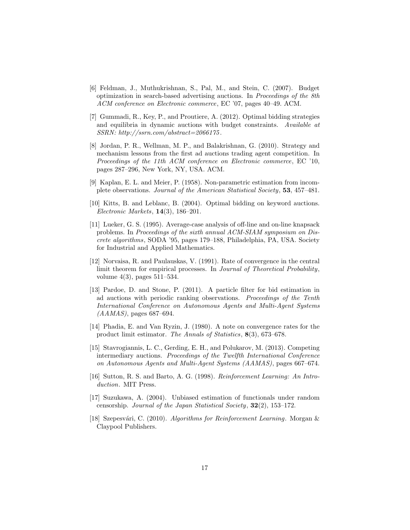- [6] Feldman, J., Muthukrishnan, S., Pal, M., and Stein, C. (2007). Budget optimization in search-based advertising auctions. In Proceedings of the 8th ACM conference on Electronic commerce, EC '07, pages 40–49. ACM.
- [7] Gummadi, R., Key, P., and Proutiere, A. (2012). Optimal bidding strategies and equilibria in dynamic auctions with budget constraints. Available at SSRN: http://ssrn.com/abstract=2066175 .
- [8] Jordan, P. R., Wellman, M. P., and Balakrishnan, G. (2010). Strategy and mechanism lessons from the first ad auctions trading agent competition. In Proceedings of the 11th ACM conference on Electronic commerce, EC '10, pages 287–296, New York, NY, USA. ACM.
- [9] Kaplan, E. L. and Meier, P. (1958). Non-parametric estimation from incomplete observations. Journal of the American Statistical Society, 53, 457–481.
- [10] Kitts, B. and Leblanc, B. (2004). Optimal bidding on keyword auctions. Electronic Markets, 14(3), 186–201.
- [11] Lueker, G. S. (1995). Average-case analysis of off-line and on-line knapsack problems. In Proceedings of the sixth annual ACM-SIAM symposium on Discrete algorithms, SODA '95, pages 179–188, Philadelphia, PA, USA. Society for Industrial and Applied Mathematics.
- [12] Norvaisa, R. and Paulauskas, V. (1991). Rate of convergence in the central limit theorem for empirical processes. In Journal of Theoretical Probability, volume 4(3), pages 511–534.
- [13] Pardoe, D. and Stone, P. (2011). A particle filter for bid estimation in ad auctions with periodic ranking observations. Proceedings of the Tenth International Conference on Autonomous Agents and Multi-Agent Systems  $(AAMAS)$ , pages 687–694.
- [14] Phadia, E. and Van Ryzin, J. (1980). A note on convergence rates for the product limit estimator. The Annals of Statistics, 8(3), 673–678.
- [15] Stavrogiannis, L. C., Gerding, E. H., and Polukarov, M. (2013). Competing intermediary auctions. Proceedings of the Twelfth International Conference on Autonomous Agents and Multi-Agent Systems (AAMAS), pages 667–674.
- [16] Sutton, R. S. and Barto, A. G. (1998). Reinforcement Learning: An Introduction. MIT Press.
- [17] Suzukawa, A. (2004). Unbiased estimation of functionals under random censorship. Journal of the Japan Statistical Society, 32(2), 153–172.
- [18] Szepesvári, C. (2010). Algorithms for Reinforcement Learning. Morgan & Claypool Publishers.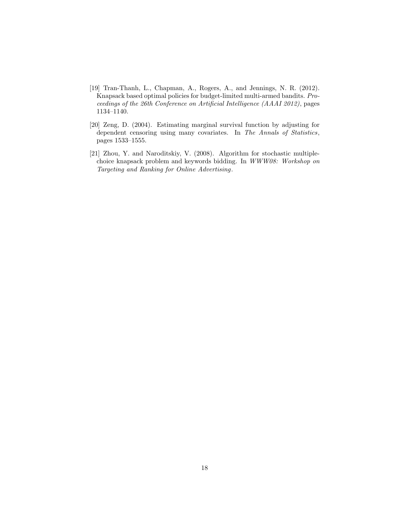- [19] Tran-Thanh, L., Chapman, A., Rogers, A., and Jennings, N. R. (2012). Knapsack based optimal policies for budget-limited multi-armed bandits. Proceedings of the 26th Conference on Artificial Intelligence (AAAI 2012), pages 1134–1140.
- [20] Zeng, D. (2004). Estimating marginal survival function by adjusting for dependent censoring using many covariates. In The Annals of Statistics, pages 1533–1555.
- [21] Zhou, Y. and Naroditskiy, V. (2008). Algorithm for stochastic multiplechoice knapsack problem and keywords bidding. In WWW08: Workshop on Targeting and Ranking for Online Advertising.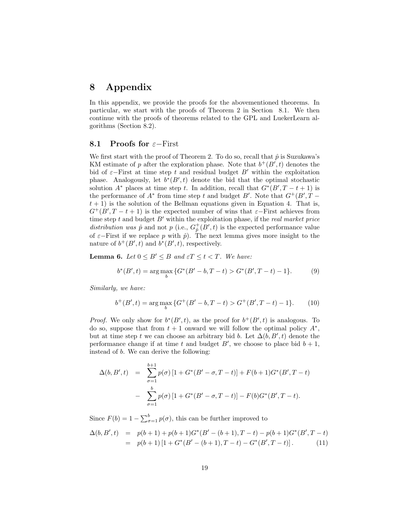## 8 Appendix

In this appendix, we provide the proofs for the abovementioned theorems. In particular, we start with the proofs of Theorem 2 in Section 8.1. We then continue with the proofs of theorems related to the GPL and LuekerLearn algorithms (Section 8.2).

#### 8.1 Proofs for  $\varepsilon$ −First

We first start with the proof of Theorem 2. To do so, recall that  $\hat{p}$  is Suzukawa's KM estimate of p after the exploration phase. Note that  $b^{+}(B', t)$  denotes the bid of  $\varepsilon$ −First at time step t and residual budget B' within the exploitation phase. Analogously, let  $b^*(B', t)$  denote the bid that the optimal stochastic solution  $A^*$  places at time step t. In addition, recall that  $G^*(B', T - t + 1)$  is the performance of  $A^*$  from time step t and budget B'. Note that  $G^+(B',T$  $t + 1$ ) is the solution of the Bellman equations given in Equation 4. That is,  $G^+(B', T-t+1)$  is the expected number of wins that  $\varepsilon$ -First achieves from time step  $t$  and budget  $B'$  within the exploitation phase, if the *real market price* distribution was  $\hat{p}$  and not p (i.e.,  $G_{\hat{p}}^+(B',t)$  is the expected performance value of  $\varepsilon$ −First if we replace p with  $\hat{p}$ ). The next lemma gives more insight to the nature of  $b^+(B', t)$  and  $b^*(B', t)$ , respectively.

**Lemma 6.** Let  $0 \leq B' \leq B$  and  $\varepsilon T \leq t < T$ . We have:

$$
b^*(B',t) = \arg\max_b \{ G^*(B'-b, T-t) > G^*(B', T-t) - 1 \}.
$$
 (9)

Similarly, we have:

$$
b^{+}(B',t) = \arg\max_{b} \{ G^{+}(B'-b, T-t) > G^{+}(B', T-t) - 1 \}. \tag{10}
$$

*Proof.* We only show for  $b^*(B', t)$ , as the proof for  $b^+(B', t)$  is analogous. To do so, suppose that from  $t + 1$  onward we will follow the optimal policy  $A^*$ , but at time step t we can choose an arbitrary bid b. Let  $\Delta(b, B', t)$  denote the performance change if at time t and budget  $B'$ , we choose to place bid  $b + 1$ , instead of b. We can derive the following:

$$
\Delta(b, B', t) = \sum_{\sigma=1}^{b+1} p(\sigma) \left[ 1 + G^*(B' - \sigma, T - t) \right] + F(b+1)G^*(B', T - t)
$$

$$
- \sum_{\sigma=1}^{b} p(\sigma) \left[ 1 + G^*(B' - \sigma, T - t) \right] - F(b)G^*(B', T - t).
$$

Since  $F(b) = 1 - \sum_{\sigma=1}^{b} p(\sigma)$ , this can be further improved to

$$
\Delta(b, B', t) = p(b+1) + p(b+1)G^*(B' - (b+1), T - t) - p(b+1)G^*(B', T - t)
$$
  
=  $p(b+1)[1 + G^*(B' - (b+1), T - t) - G^*(B', T - t)].$  (11)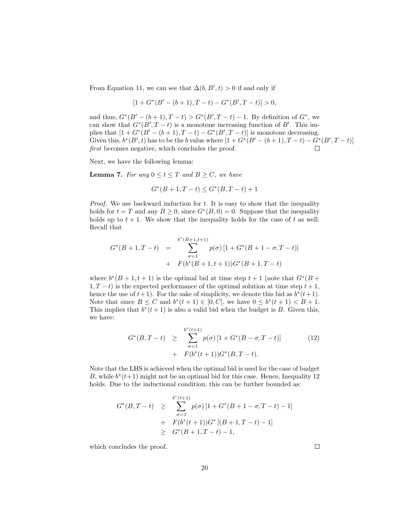From Equation 11, we can see that  $\Delta(b, B', t) > 0$  if and only if

$$
[1 + G^*(B' - (b+1), T - t) - G^*(B', T - t)] > 0,
$$

and thus,  $G^*(B' - (b+1), T - t) > G^*(B', T - t) - 1$ . By definition of  $G^*$ , we can show that  $G^*(B', T - t)$  is a monotone increasing function of B'. This implies that  $[1 + G^*(B' - (b+1), T - t) - G^*(B', T - t)]$  is monotone decreasing. Given this,  $b^*(B', t)$  has to be the b value where  $[1 + G^*(B' - (b+1), T - t) - G^*(B', T - t)]$ first becomes negative, which concludes the proof.

Next, we have the following lemma:

**Lemma 7.** For any  $0 \le t \le T$  and  $B \ge C$ , we have

$$
G^*(B+1, T-t) \le G^*(B, T-t) + 1
$$

*Proof.* We use backward induction for  $t$ . It is easy to show that the inequality holds for  $t = T$  and any  $B \ge 0$ , since  $G^*(B, 0) = 0$ . Suppose that the inequality holds up to  $t + 1$ . We show that the inequality holds for the case of t as well. Recall that

$$
G^*(B+1, T-t) = \sum_{\sigma=1}^{b^*(B+1, t+1)} p(\sigma) [1 + G^*(B+1 - \sigma, T-t)]
$$
  
+ 
$$
F(b^*(B+1, t+1))G^*(B+1, T-t)
$$

where  $b^*(B+1,t+1)$  is the optimal bid at time step  $t+1$  (note that  $G^*(B+1)$  $1, T - t$ ) is the expected performance of the optimal solution at time step  $t + 1$ , hence the use of  $t+1$ ). For the sake of simplicity, we denote this bid as  $b^*(t+1)$ . Note that since  $B \leq C$  and  $b^*(t+1) \in [0, C]$ , we have  $0 \leq b^*(t+1) < B + 1$ . This implies that  $b^*(t+1)$  is also a valid bid when the budget is B. Given this, we have:

$$
G^*(B, T - t) \geq \sum_{\sigma=1}^{b^*(t+1)} p(\sigma) \left[ 1 + G^*(B - \sigma, T - t) \right]
$$
\n
$$
+ F(b^*(t+1))G^*(B, T - t).
$$
\n(12)

Note that the LHS is achieved when the optimal bid is used for the case of budget B, while  $b^*(t+1)$  might not be an optimal bid for this case. Hence, Inequality 12 holds. Due to the inductional condition, this can be further bounded as:

$$
G^*(B, T - t) \geq \sum_{\sigma=1}^{b^*(t+1)} p(\sigma) [1 + G^*(B + 1 - \sigma, T - t) - 1]
$$
  
+  $F(b^*(t+1))G^*[(B + 1, T - t) - 1]$   
 $\geq G^*(B + 1, T - t) - 1,$ 

which concludes the proof.

 $\Box$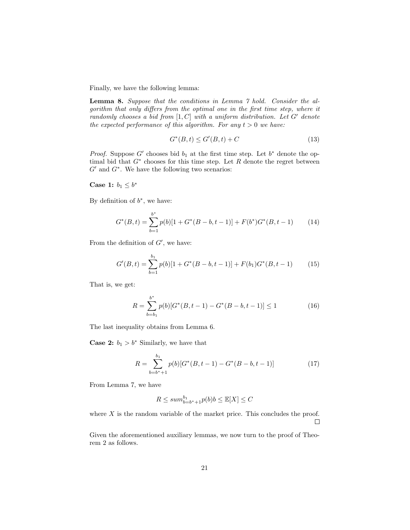Finally, we have the following lemma:

Lemma 8. Suppose that the conditions in Lemma 7 hold. Consider the algorithm that only differs from the optimal one in the first time step, where it randomly chooses a bid from  $[1, C]$  with a uniform distribution. Let G' denote the expected performance of this algorithm. For any  $t > 0$  we have:

$$
G^*(B, t) \le G'(B, t) + C \tag{13}
$$

*Proof.* Suppose  $G'$  chooses bid  $b_1$  at the first time step. Let  $b^*$  denote the optimal bid that  $G^*$  chooses for this time step. Let R denote the regret between  $G'$  and  $G^*$ . We have the following two scenarios:

Case 1:  $b_1 \leq b^*$ 

By definition of  $b^*$ , we have:

$$
G^*(B,t) = \sum_{b=1}^{b^*} p(b)[1 + G^*(B - b, t - 1)] + F(b^*)G^*(B, t - 1)
$$
 (14)

From the definition of  $G'$ , we have:

$$
G'(B,t) = \sum_{b=1}^{b_1} p(b)[1 + G^*(B - b, t - 1)] + F(b_1)G^*(B, t - 1)
$$
 (15)

That is, we get:

$$
R = \sum_{b=b_1}^{b^*} p(b)[G^*(B, t-1) - G^*(B-b, t-1)] \le 1
$$
 (16)

The last inequality obtains from Lemma 6.

**Case 2:**  $b_1 > b^*$  Similarly, we have that

$$
R = \sum_{b=b^*+1}^{b_1} p(b)[G^*(B, t-1) - G^*(B-b, t-1)] \tag{17}
$$

From Lemma 7, we have

$$
R \le \sum_{b=b^*+1} p(b)b \le \mathbb{E}[X] \le C
$$

where  $X$  is the random variable of the market price. This concludes the proof.  $\Box$ 

Given the aforementioned auxiliary lemmas, we now turn to the proof of Theorem 2 as follows.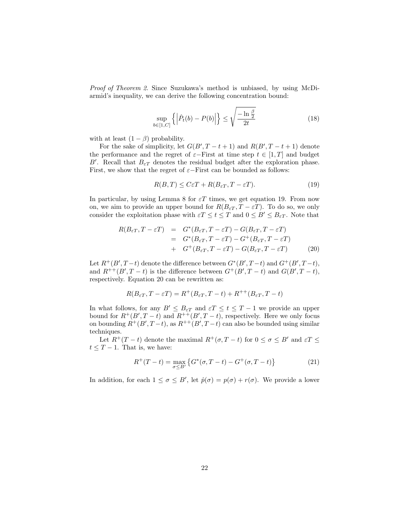Proof of Theorem 2. Since Suzukawa's method is unbiased, by using McDiarmid's inequality, we can derive the following concentration bound:

$$
\sup_{b \in [1, C]} \left\{ \left| \hat{P}_t(b) - P(b) \right| \right\} \le \sqrt{\frac{-\ln \frac{\beta}{2}}{2t}} \tag{18}
$$

with at least  $(1 - \beta)$  probability.

For the sake of simplicity, let  $G(B', T - t + 1)$  and  $R(B', T - t + 1)$  denote the performance and the regret of  $\varepsilon$ −First at time step  $t \in [1, T]$  and budget B'. Recall that  $B_{\varepsilon T}$  denotes the residual budget after the exploration phase. First, we show that the regret of  $\varepsilon$ −First can be bounded as follows:

$$
R(B,T) \le C\varepsilon T + R(B_{\varepsilon T}, T - \varepsilon T). \tag{19}
$$

In particular, by using Lemma 8 for  $\varepsilon T$  times, we get equation 19. From now on, we aim to provide an upper bound for  $R(B_{\varepsilon T}, T - \varepsilon T)$ . To do so, we only consider the exploitation phase with  $\epsilon T \leq t \leq T$  and  $0 \leq B' \leq B_{\epsilon T}$ . Note that

$$
R(B_{\varepsilon T}, T - \varepsilon T) = G^*(B_{\varepsilon T}, T - \varepsilon T) - G(B_{\varepsilon T}, T - \varepsilon T)
$$
  
= 
$$
G^*(B_{\varepsilon T}, T - \varepsilon T) - G^+(B_{\varepsilon T}, T - \varepsilon T)
$$
  
+ 
$$
G^+(B_{\varepsilon T}, T - \varepsilon T) - G(B_{\varepsilon T}, T - \varepsilon T)
$$
(20)

Let  $R^+(B', T-t)$  denote the difference between  $G^*(B', T-t)$  and  $G^+(B', T-t)$ , and  $R^{++}(B', T-t)$  is the difference between  $G^+(B', T-t)$  and  $G(B', T-t)$ , respectively. Equation 20 can be rewritten as:

$$
R(B_{\varepsilon T}, T - \varepsilon T) = R^+(B_{\varepsilon T}, T - t) + R^{++}(B_{\varepsilon T}, T - t)
$$

In what follows, for any  $B' \leq B_{\varepsilon T}$  and  $\varepsilon T \leq t \leq T-1$  we provide an upper bound for  $R^+(B', T - t)$  and  $R^{++}(B', T - t)$ , respectively. Here we only focus on bounding  $R^+(B', T-t)$ , as  $R^{++}(B', T-t)$  can also be bounded using similar techniques.

Let  $R^+(T-t)$  denote the maximal  $R^+(\sigma, T-t)$  for  $0 \leq \sigma \leq B'$  and  $\varepsilon T \leq$  $t \leq T - 1$ . That is, we have:

$$
R^{+}(T-t) = \max_{\sigma \leq B'} \left\{ G^{*}(\sigma, T-t) - G^{+}(\sigma, T-t) \right\}
$$
 (21)

In addition, for each  $1 \leq \sigma \leq B'$ , let  $\hat{p}(\sigma) = p(\sigma) + r(\sigma)$ . We provide a lower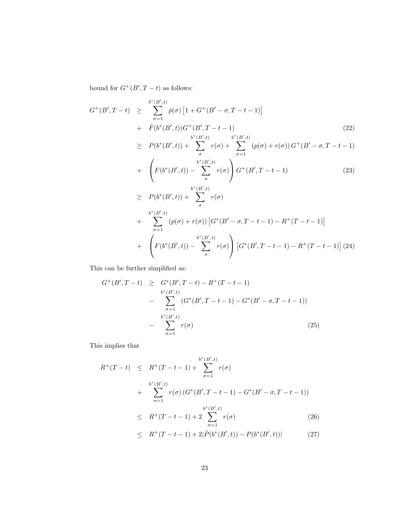bound for  $G^+(B', T - t)$  as follows:

$$
G^{+}(B',T-t) \geq \sum_{\sigma=1}^{b^{*}(B',t)} \hat{p}(\sigma) \left[1 + G^{+}(B' - \sigma, T - t - 1)\right]
$$
  
+  $\hat{F}(b^{*}(B',t))G^{+}(B',T-t-1)$   

$$
\geq P(b^{*}(B',t)) + \sum_{\sigma}^{b^{*}(B',t)} r(\sigma) + \sum_{\sigma=1}^{b^{*}(B',t)} (p(\sigma) + r(\sigma))G^{+}(B' - \sigma, T - t - 1)
$$
  
+  $\left(F(b^{*}(B',t)) - \sum_{\sigma}^{b^{*}(B',t)} r(\sigma)\right)G^{+}(B',T-t-1)$  (23)  

$$
\geq P(b^{*}(B',t)) + \sum_{\sigma}^{b^{*}(B',t)} r(\sigma)
$$
  
+  $\sum_{\sigma=1}^{b^{*}(B',t)} (p(\sigma) + r(\sigma)) \left[G^{*}(B' - \sigma, T - t - 1) - R^{+}(T - t - 1)\right]$   
+  $\left(F(b^{*}(B',t)) - \sum_{\sigma}^{b^{*}(B',t)} r(\sigma)\right) \left[G^{*}(B',T-t-1) - R^{+}(T-t-1)\right] (24)$ 

This can be further simplified as:

$$
G^{+}(B', T-t) \geq G^{*}(B', T-t) - R^{+}(T-t-1)
$$
  
\n
$$
- \sum_{\sigma=1}^{b^{*}(B', t)} (G^{*}(B', T-t-1) - G^{*}(B'-\sigma, T-t-1))
$$
  
\n
$$
- \sum_{\sigma=1}^{b^{*}(B', t)} r(\sigma)
$$
 (25)

This implies that

$$
R^{+}(T-t) \leq R^{+}(T-t-1) + \sum_{\sigma=1}^{b^{*}(B',t)} r(\sigma)
$$
  
+ 
$$
\sum_{\sigma=1}^{b^{*}(B',t)} r(\sigma) (G^{*}(B',T-t-1) - G^{*}(B'-\sigma,T-t-1))
$$
  

$$
\leq R^{+}(T-t-1) + 2 \sum_{\sigma=1}^{b^{*}(B',t)} r(\sigma)
$$
(26)  

$$
\leq R^{+}(T-t-1) + 2|\hat{P}(k^{*}(B',t)) - P(k^{*}(B',t))|
$$

$$
\leq R^+(T-t-1) + 2|\hat{P}(b^*(B',t)) - P(b^*(B',t))| \tag{27}
$$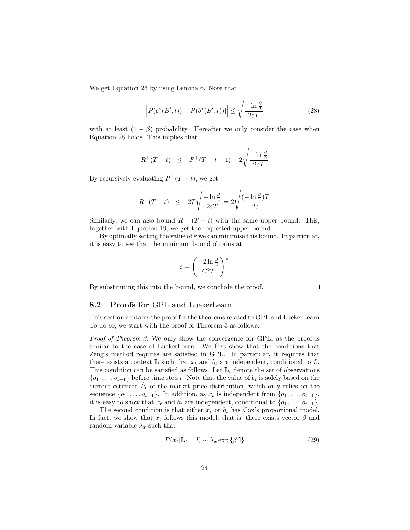We get Equation 26 by using Lemma 6. Note that

$$
\left| \hat{P}(b^*(B',t)) - P(b^*(B',t)) \right| \le \sqrt{\frac{-\ln\frac{\beta}{2}}{2\varepsilon T}} \tag{28}
$$

with at least  $(1 - \beta)$  probability. Hereafter we only consider the case when Equation 28 holds. This implies that

$$
R^+(T-t)
$$
  $\leq R^+(T-t-1) + 2\sqrt{\frac{-\ln \frac{\beta}{2}}{2\varepsilon T}}$ 

By recursively evaluating  $R^+(T-t)$ , we get

$$
R^{+}(T-t) \leq 2T\sqrt{\frac{-\ln \frac{\beta}{2}}{2\varepsilon T}} = 2\sqrt{\frac{(-\ln \frac{\beta}{2})T}{2\varepsilon}}
$$

Similarly, we can also bound  $R^{++}(T - t)$  with the same upper bound. This, together with Equation 19, we get the requested upper bound.

By optimally setting the value of  $\varepsilon$  we can minimise this bound. In particular, it is easy to see that the minimum bound obtains at

$$
\varepsilon = \left(\frac{-2\ln\frac{\beta}{2}}{C^2T}\right)^{\frac{1}{3}}
$$

By substituting this into the bound, we conclude the proof.

#### 8.2 Proofs for GPL and LuekerLearn

This section contains the proof for the theorems related to GPL and LuekerLearn. To do so, we start with the proof of Theorem 3 as follows.

Proof of Theorem 3. We only show the convergence for GPL, as the proof is similar to the case of LuekerLearn. We first show that the conditions that Zeng's method requires are satisfied in GPL. In particular, it requires that there exists a context **L** such that  $x_t$  and  $b_t$  are independent, conditional to L. This condition can be satisfied as follows. Let  $L_t$  denote the set of observations  $\{o_1, \ldots, o_{t-1}\}\$  before time step t. Note that the value of  $b_t$  is solely based on the current estimate  $\hat{P}_t$  of the market price distribution, which only relies on the sequence  $\{o_1, \ldots, o_{t-1}\}$ . In addition, as  $x_t$  is independent from  $\{o_1, \ldots, o_{t-1}\}$ , it is easy to show that  $x_t$  and  $b_t$  are independent, conditional to  $\{o_1, \ldots, o_{t-1}\}.$ 

The second condition is that either  $x_t$  or  $b_t$  has Cox's proportional model. In fact, we show that  $x_t$  follows this model; that is, there exists vector  $\beta$  and random variable  $\lambda_x$  such that

$$
P(x_t | \mathbf{L}_t = l) \sim \lambda_x \exp\{\beta' \mathbf{l}\} \tag{29}
$$

 $\Box$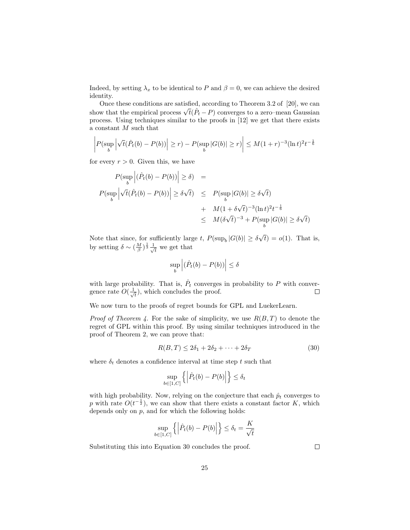Indeed, by setting  $\lambda_x$  to be identical to P and  $\beta = 0$ , we can achieve the desired identity.

Once these conditions are satisfied, according to Theorem 3.2 of [20], we can Show that the empirical process  $\sqrt{t}(\hat{P}_t - P)$  converges to a zero–mean Gaussian process. Using techniques similar to the proofs in [12] we get that there exists a constant  $M$  such that

$$
\left| P(\sup_b \left| \sqrt{t}(\hat{P}_t(b) - P(b)) \right| \ge r) - P(\sup_b |G(b)| \ge r) \right| \le M(1+r)^{-3}(\ln t)^2 t^{-\frac{1}{6}}
$$

for every  $r > 0$ . Given this, we have

$$
P(\sup_{b} \left| (\hat{P}_{t}(b) - P(b)) \right| \geq \delta) =
$$
  

$$
P(\sup_{b} \left| \sqrt{t}(\hat{P}_{t}(b) - P(b)) \right| \geq \delta\sqrt{t}) \leq P(\sup_{b} |G(b)| \geq \delta\sqrt{t})
$$
  

$$
+ M(1 + \delta\sqrt{t})^{-3}(\ln t)^{2}t^{-\frac{1}{6}}
$$
  

$$
\leq M(\delta\sqrt{t})^{-3} + P(\sup_{b} |G(b)| \geq \delta\sqrt{t})
$$

Note that since, for sufficiently large t,  $P(\sup_b |G(b)| \ge \delta)$ √  $t) = o(1)$ . That is, by setting  $\delta \sim (\frac{M}{\beta})^{\frac{1}{3}} \frac{1}{\sqrt{3}}$  $\frac{1}{\overline{t}}$  we get that

$$
\sup_b \left| (\hat{P}_t(b) - P(b)) \right| \le \delta
$$

with large probability. That is,  $\hat{P}_t$  converges in probability to P with convergence rate  $O(\frac{1}{\sqrt{2}})$  $(\frac{1}{t})$ , which concludes the proof.  $\Box$ 

We now turn to the proofs of regret bounds for GPL and LuekerLearn.

*Proof of Theorem 4.* For the sake of simplicity, we use  $R(B,T)$  to denote the regret of GPL within this proof. By using similar techniques introduced in the proof of Theorem 2, we can prove that:

$$
R(B,T) \le 2\delta_1 + 2\delta_2 + \dots + 2\delta_T \tag{30}
$$

where  $\delta_t$  denotes a confidence interval at time step t such that

$$
\sup_{b \in [1, C]} \left\{ \left| \hat{P}_t(b) - P(b) \right| \right\} \le \delta_t
$$

with high probability. Now, relying on the conjecture that each  $\hat{p}_t$  converges to p with rate  $O(t^{-\frac{1}{2}})$ , we can show that there exists a constant factor K, which depends only on  $p$ , and for which the following holds:

$$
\sup_{b \in [1, C]} \left\{ \left| \hat{P}_t(b) - P(b) \right| \right\} \le \delta_t = \frac{K}{\sqrt{t}}
$$

Substituting this into Equation 30 concludes the proof.

 $\Box$